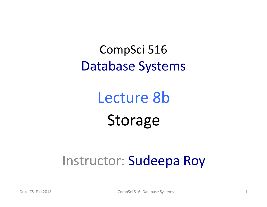CompSci 516 Database Systems

> Lecture 8b Storage

#### Instructor: Sudeepa Roy

Duke CS, Fall 2018 **CompSci 516: Database Systems** 1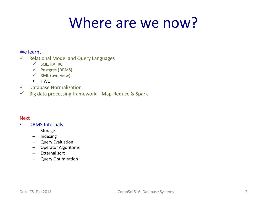#### Where are we now?

#### We learnt

- $\checkmark$  Relational Model and Query Languages
	- $\checkmark$  SQL, RA, RC
	- $\checkmark$  Postgres (DBMS)
	- $V$  XML (overview)
	- $\blacksquare$  HW1
- $\checkmark$  Database Normalization
- $\checkmark$  Big data processing framework Map-Reduce & Spark

#### Next

- DBMS Internals
	- Storage
	- Indexing
	- Query Evaluation
	- Operator Algorithms
	- External sort
	- Query Optimization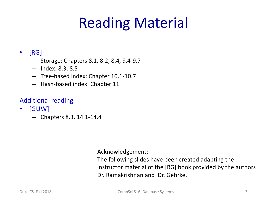# Reading Material

#### • [RG]

- Storage: Chapters 8.1, 8.2, 8.4, 9.4-9.7
- Index: 8.3, 8.5
- Tree-based index: Chapter 10.1-10.7
- Hash-based index: Chapter 11

#### Additional reading

- [GUW]
	- Chapters 8.3, 14.1-14.4

Acknowledgement:

The following slides have been created adapting the instructor material of the [RG] book provided by the authors Dr. Ramakrishnan and Dr. Gehrke.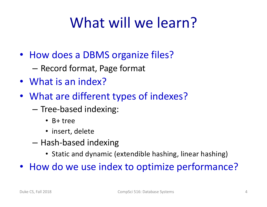### What will we learn?

- How does a DBMS organize files?
	- Record format, Page format
- What is an index?
- What are different types of indexes?
	- Tree-based indexing:
		- B+ tree
		- insert, delete
	- Hash-based indexing
		- Static and dynamic (extendible hashing, linear hashing)
- How do we use index to optimize performance?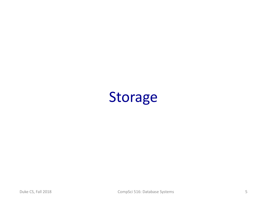#### Storage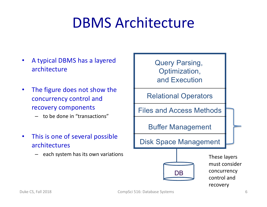#### DBMS Architecture

- A typical DBMS has a layered architecture
- The figure does not show the concurrency control and recovery components
	- to be done in "transactions"
- This is one of several possible architectures
	- each system has its own variations

Query Parsing, Optimization, and Execution

Relational Operators

Files and Access Methods

Buffer Management

Disk Space Management



These layers must consider concurrency control and recovery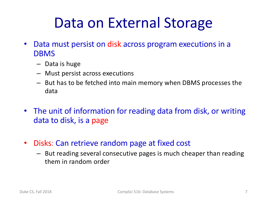#### Data on External Storage

- Data must persist on disk across program executions in a DBMS
	- Data is huge
	- Must persist across executions
	- But has to be fetched into main memory when DBMS processes the data
- The unit of information for reading data from disk, or writing data to disk, is a page
- Disks: Can retrieve random page at fixed cost
	- But reading several consecutive pages is much cheaper than reading them in random order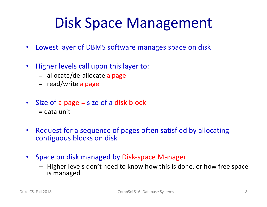#### Disk Space Management

- Lowest layer of DBMS software manages space on disk
- Higher levels call upon this layer to:
	- allocate/de-allocate a page
	- read/write a page
- Size of a page = size of a disk block  $=$  data unit
- Request for a sequence of pages often satisfied by allocating contiguous blocks on disk
- Space on disk managed by Disk-space Manager
	- Higher levels don't need to know how this is done, or how free space is managed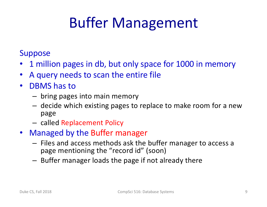# Buffer Management

#### **Suppose**

- 1 million pages in db, but only space for 1000 in memory
- A query needs to scan the entire file
- DBMS has to
	- bring pages into main memory
	- decide which existing pages to replace to make room for a new page
	- called Replacement Policy
- Managed by the Buffer manager
	- Files and access methods ask the buffer manager to access a page mentioning the "record id" (soon)
	- Buffer manager loads the page if not already there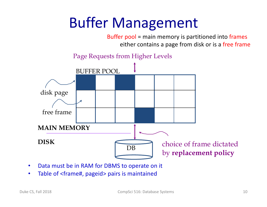## Buffer Management

Buffer pool = main memory is partitioned into frames either contains a page from disk or is a free frame



- Data must be in RAM for DBMS to operate on it
- Table of <frame#, pageid> pairs is maintained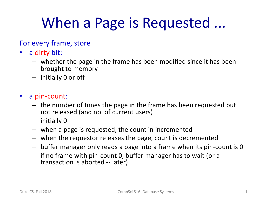## When a Page is Requested ...

#### For every frame, store

- a dirty bit:
	- whether the page in the frame has been modified since it has been brought to memory
	- initially 0 or off
- a pin-count:
	- the number of times the page in the frame has been requested but not released (and no. of current users)
	- initially 0
	- when a page is requested, the count in incremented
	- when the requestor releases the page, count is decremented
	- buffer manager only reads a page into a frame when its pin-count is 0
	- if no frame with pin-count 0, buffer manager has to wait (or a transaction is aborted -- later)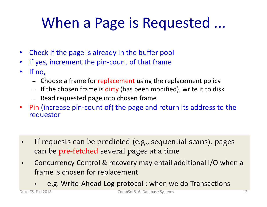# When a Page is Requested ...

- Check if the page is already in the buffer pool
- if yes, increment the pin-count of that frame
- If no,
	- Choose a frame for replacement using the replacement policy
	- If the chosen frame is dirty (has been modified), write it to disk
	- Read requested page into chosen frame
- Pin (increase pin-count of) the page and return its address to the requestor
- If requests can be predicted (e.g., sequential scans), pages can be pre-fetched several pages at a time
- Concurrency Control & recovery may entail additional I/O when a frame is chosen for replacement
	- e.g. Write-Ahead Log protocol : when we do Transactions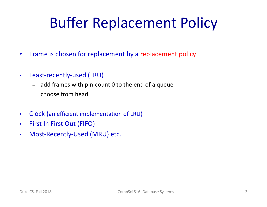# Buffer Replacement Policy

- Frame is chosen for replacement by a replacement policy
- Least-recently-used (LRU)
	- add frames with pin-count 0 to the end of a queue
	- choose from head
- Clock (an efficient implementation of LRU)
- First In First Out (FIFO)
- Most-Recently-Used (MRU) etc.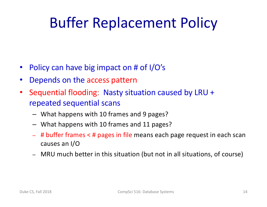## Buffer Replacement Policy

- Policy can have big impact on # of I/O's
- Depends on the access pattern
- Sequential flooding: Nasty situation caused by LRU + repeated sequential scans
	- What happens with 10 frames and 9 pages?
	- What happens with 10 frames and 11 pages?
	- # buffer frames < # pages in file means each page request in each scan causes an I/O
	- MRU much better in this situation (but not in all situations, of course)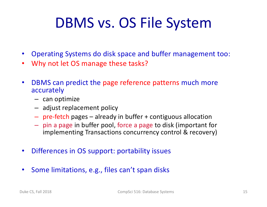#### DBMS vs. OS File System

- Operating Systems do disk space and buffer management too:
- Why not let OS manage these tasks?
- DBMS can predict the page reference patterns much more accurately
	- can optimize
	- adjust replacement policy
	- pre-fetch pages already in buffer + contiguous allocation
	- pin a page in buffer pool, force a page to disk (important for implementing Transactions concurrency control & recovery)
- Differences in OS support: portability issues
- Some limitations, e.g., files can't span disks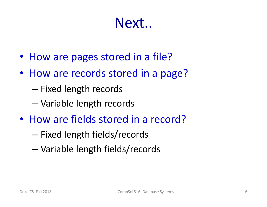#### Next..

- How are pages stored in a file?
- How are records stored in a page?
	- Fixed length records
	- Variable length records
- How are fields stored in a record?
	- Fixed length fields/records
	- Variable length fields/records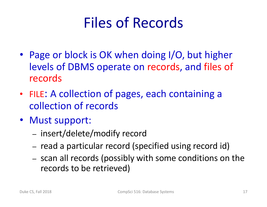## Files of Records

- Page or block is OK when doing I/O, but higher levels of DBMS operate on records, and files of records
- FILE: A collection of pages, each containing a collection of records
- Must support:
	- insert/delete/modify record
	- read a particular record (specified using record id)
	- scan all records (possibly with some conditions on the records to be retrieved)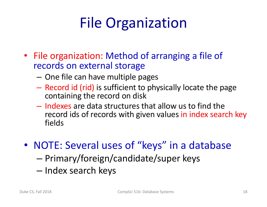# File Organization

- File organization: Method of arranging a file of records on external storage
	- One file can have multiple pages
	- Record id (rid) is sufficient to physically locate the page containing the record on disk
	- Indexes are data structures that allow us to find the record ids of records with given values in index search key fields
- NOTE: Several uses of "keys" in a database
	- Primary/foreign/candidate/super keys
	- Index search keys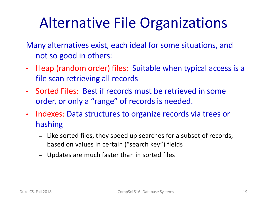## Alternative File Organizations

- Many alternatives exist, each ideal for some situations, and not so good in others:
- Heap (random order) files: Suitable when typical access is a file scan retrieving all records
- Sorted Files: Best if records must be retrieved in some order, or only a "range" of records is needed.
- Indexes: Data structures to organize records via trees or hashing
	- Like sorted files, they speed up searches for a subset of records, based on values in certain ("search key") fields
	- Updates are much faster than in sorted files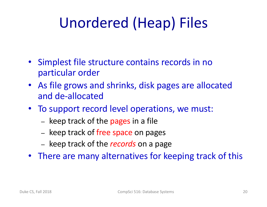# Unordered (Heap) Files

- Simplest file structure contains records in no particular order
- As file grows and shrinks, disk pages are allocated and de-allocated
- To support record level operations, we must:
	- keep track of the pages in a file
	- keep track of free space on pages
	- keep track of the *records* on a page
- There are many alternatives for keeping track of this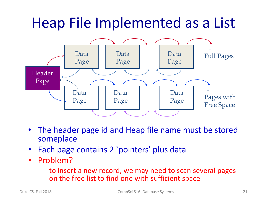#### Heap File Implemented as a List



- The header page id and Heap file name must be stored someplace
- Each page contains 2 'pointers' plus data
- Problem?
	- to insert a new record, we may need to scan several pages on the free list to find one with sufficient space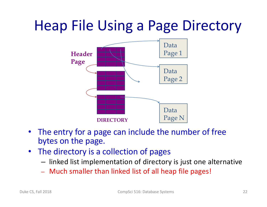#### Heap File Using a Page Directory



- The entry for a page can include the number of free bytes on the page.
- The directory is a collection of pages
	- linked list implementation of directory is just one alternative
	- Much smaller than linked list of all heap file pages!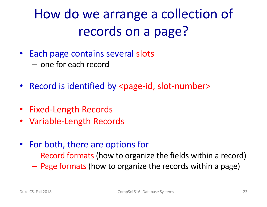#### How do we arrange a collection of records on a page?

- Each page contains several slots – one for each record
- Record is identified by <page-id, slot-number>
- Fixed-Length Records
- Variable-Length Records
- For both, there are options for
	- Record formats (how to organize the fields within a record)
	- Page formats (how to organize the records within a page)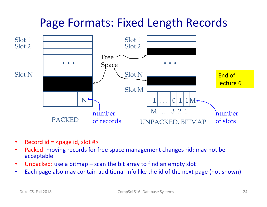#### Page Formats: Fixed Length Records



- Record  $id =$   $\epsilon$  and  $\epsilon$  and  $\epsilon$  and  $\epsilon$  and  $\epsilon$  and  $\epsilon$  and  $\epsilon$  and  $\epsilon$  and  $\epsilon$  and  $\epsilon$  and  $\epsilon$  and  $\epsilon$  and  $\epsilon$  and  $\epsilon$  and  $\epsilon$  and  $\epsilon$  and  $\epsilon$  and  $\epsilon$  and  $\epsilon$  and  $\epsilon$  and  $\epsilon$  and  $\epsilon$  and  $\epsilon$  and  $\$
- Packed: moving records for free space management changes rid; may not be acceptable
- Unpacked: use a bitmap scan the bit array to find an empty slot
- Each page also may contain additional info like the id of the next page (not shown)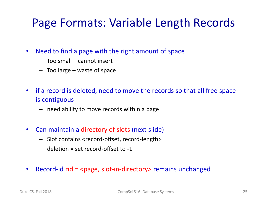#### Page Formats: Variable Length Records

- Need to find a page with the right amount of space
	- Too small cannot insert
	- Too large waste of space
- if a record is deleted, need to move the records so that all free space is contiguous
	- need ability to move records within a page
- Can maintain a directory of slots (next slide)
	- Slot contains <record-offset, record-length>
	- deletion = set record-offset to -1
- Record-id rid = <page, slot-in-directory> remains unchanged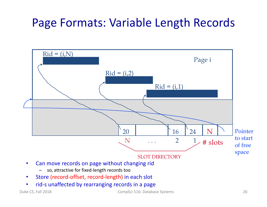#### Page Formats: Variable Length Records



• rid-s unaffected by rearranging records in a page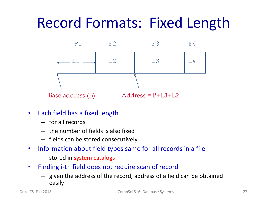### Record Formats: Fixed Length



- Each field has a fixed length
	- for all records
	- the number of fields is also fixed
	- fields can be stored consecutively
- Information about field types same for all records in a file
	- stored in system catalogs
- Finding i-th field does not require scan of record
	- given the address of the record, address of a field can be obtained easily